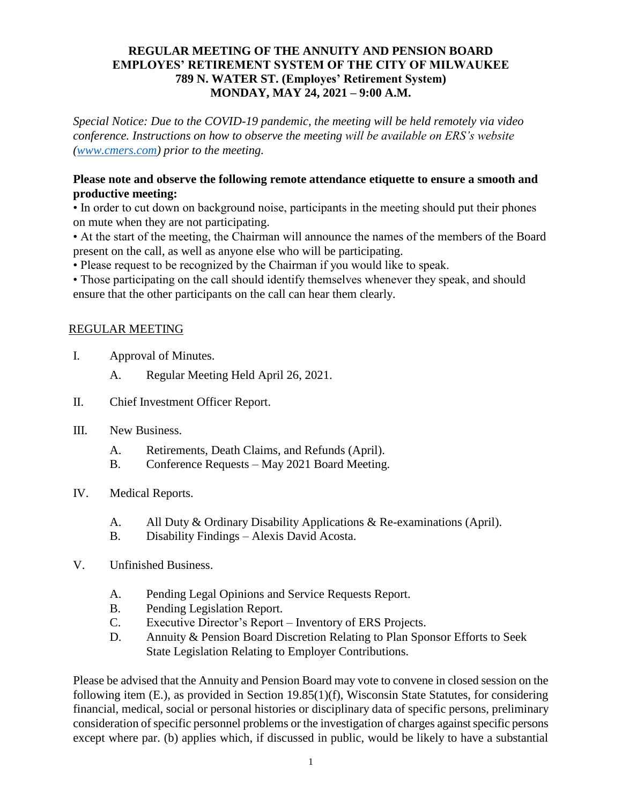#### **REGULAR MEETING OF THE ANNUITY AND PENSION BOARD EMPLOYES' RETIREMENT SYSTEM OF THE CITY OF MILWAUKEE 789 N. WATER ST. (Employes' Retirement System) MONDAY, MAY 24, 2021 – 9:00 A.M.**

*Special Notice: Due to the COVID-19 pandemic, the meeting will be held remotely via video conference. Instructions on how to observe the meeting will be available on ERS's website [\(www.cmers.com\)](http://www.cmers.com/) prior to the meeting.*

### **Please note and observe the following remote attendance etiquette to ensure a smooth and productive meeting:**

• In order to cut down on background noise, participants in the meeting should put their phones on mute when they are not participating.

• At the start of the meeting, the Chairman will announce the names of the members of the Board present on the call, as well as anyone else who will be participating.

• Please request to be recognized by the Chairman if you would like to speak.

• Those participating on the call should identify themselves whenever they speak, and should ensure that the other participants on the call can hear them clearly.

#### REGULAR MEETING

- I. Approval of Minutes.
	- A. Regular Meeting Held April 26, 2021.
- II. Chief Investment Officer Report.
- III. New Business.
	- A. Retirements, Death Claims, and Refunds (April).
	- B. Conference Requests May 2021 Board Meeting.
- IV. Medical Reports.
	- A. All Duty & Ordinary Disability Applications & Re-examinations (April).
	- B. Disability Findings Alexis David Acosta.
- V. Unfinished Business.
	- A. Pending Legal Opinions and Service Requests Report.
	- B. Pending Legislation Report.
	- C. Executive Director's Report Inventory of ERS Projects.
	- D. Annuity & Pension Board Discretion Relating to Plan Sponsor Efforts to Seek State Legislation Relating to Employer Contributions.

Please be advised that the Annuity and Pension Board may vote to convene in closed session on the following item (E.), as provided in Section 19.85(1)(f), Wisconsin State Statutes, for considering financial, medical, social or personal histories or disciplinary data of specific persons, preliminary consideration of specific personnel problems or the investigation of charges against specific persons except where par. (b) applies which, if discussed in public, would be likely to have a substantial